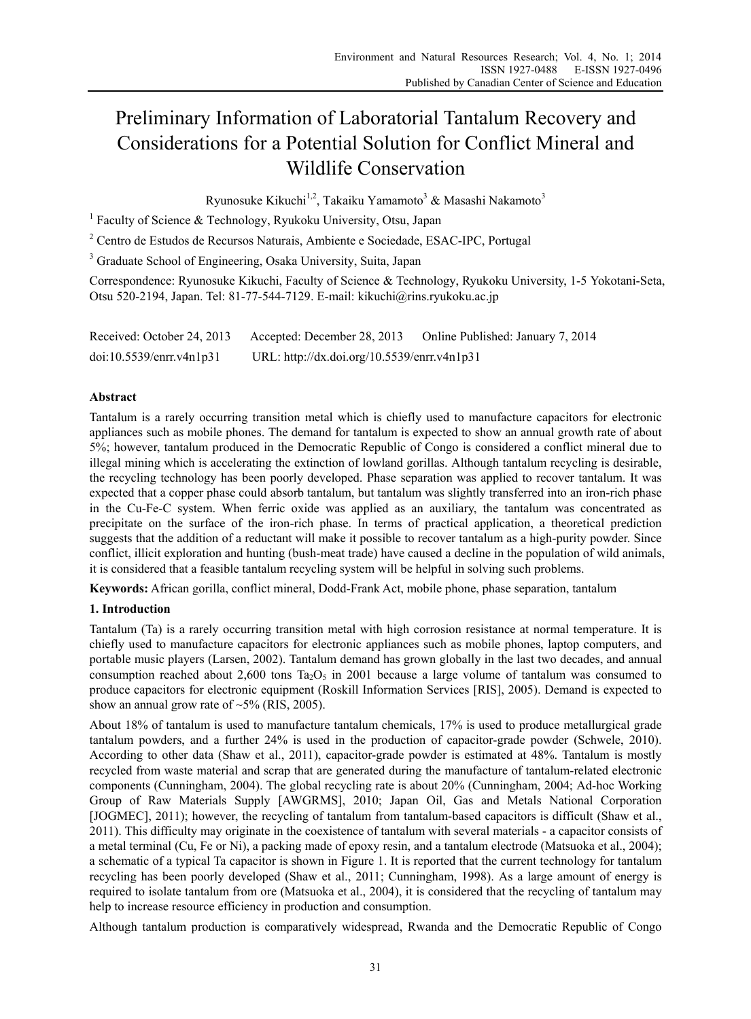# Preliminary Information of Laboratorial Tantalum Recovery and Considerations for a Potential Solution for Conflict Mineral and Wildlife Conservation

Ryunosuke Kikuchi<sup>1,2</sup>, Takaiku Yamamoto<sup>3</sup> & Masashi Nakamoto<sup>3</sup>

<sup>1</sup> Faculty of Science & Technology, Ryukoku University, Otsu, Japan

<sup>2</sup> Centro de Estudos de Recursos Naturais, Ambiente e Sociedade, ESAC-IPC, Portugal

<sup>3</sup> Graduate School of Engineering, Osaka University, Suita, Japan

Correspondence: Ryunosuke Kikuchi, Faculty of Science & Technology, Ryukoku University, 1-5 Yokotani-Seta, Otsu 520-2194, Japan. Tel: 81-77-544-7129. E-mail: kikuchi@rins.ryukoku.ac.jp

Received: October 24, 2013 Accepted: December 28, 2013 Online Published: January 7, 2014 doi:10.5539/enrr.v4n1p31 URL: http://dx.doi.org/10.5539/enrr.v4n1p31

#### **Abstract**

Tantalum is a rarely occurring transition metal which is chiefly used to manufacture capacitors for electronic appliances such as mobile phones. The demand for tantalum is expected to show an annual growth rate of about 5%; however, tantalum produced in the Democratic Republic of Congo is considered a conflict mineral due to illegal mining which is accelerating the extinction of lowland gorillas. Although tantalum recycling is desirable, the recycling technology has been poorly developed. Phase separation was applied to recover tantalum. It was expected that a copper phase could absorb tantalum, but tantalum was slightly transferred into an iron-rich phase in the Cu-Fe-C system. When ferric oxide was applied as an auxiliary, the tantalum was concentrated as precipitate on the surface of the iron-rich phase. In terms of practical application, a theoretical prediction suggests that the addition of a reductant will make it possible to recover tantalum as a high-purity powder. Since conflict, illicit exploration and hunting (bush-meat trade) have caused a decline in the population of wild animals, it is considered that a feasible tantalum recycling system will be helpful in solving such problems.

**Keywords:** African gorilla, conflict mineral, Dodd-Frank Act, mobile phone, phase separation, tantalum

#### **1. Introduction**

Tantalum (Ta) is a rarely occurring transition metal with high corrosion resistance at normal temperature. It is chiefly used to manufacture capacitors for electronic appliances such as mobile phones, laptop computers, and portable music players (Larsen, 2002). Tantalum demand has grown globally in the last two decades, and annual consumption reached about 2,600 tons  $Ta_2O_5$  in 2001 because a large volume of tantalum was consumed to produce capacitors for electronic equipment (Roskill Information Services [RIS], 2005). Demand is expected to show an annual grow rate of  $\sim$ 5% (RIS, 2005).

About 18% of tantalum is used to manufacture tantalum chemicals, 17% is used to produce metallurgical grade tantalum powders, and a further 24% is used in the production of capacitor-grade powder (Schwele, 2010). According to other data (Shaw et al., 2011), capacitor-grade powder is estimated at 48%. Tantalum is mostly recycled from waste material and scrap that are generated during the manufacture of tantalum-related electronic components (Cunningham, 2004). The global recycling rate is about 20% (Cunningham, 2004; Ad-hoc Working Group of Raw Materials Supply [AWGRMS], 2010; Japan Oil, Gas and Metals National Corporation [JOGMEC], 2011); however, the recycling of tantalum from tantalum-based capacitors is difficult (Shaw et al., 2011). This difficulty may originate in the coexistence of tantalum with several materials - a capacitor consists of a metal terminal (Cu, Fe or Ni), a packing made of epoxy resin, and a tantalum electrode (Matsuoka et al., 2004); a schematic of a typical Ta capacitor is shown in Figure 1. It is reported that the current technology for tantalum recycling has been poorly developed (Shaw et al., 2011; Cunningham, 1998). As a large amount of energy is required to isolate tantalum from ore (Matsuoka et al., 2004), it is considered that the recycling of tantalum may help to increase resource efficiency in production and consumption.

Although tantalum production is comparatively widespread, Rwanda and the Democratic Republic of Congo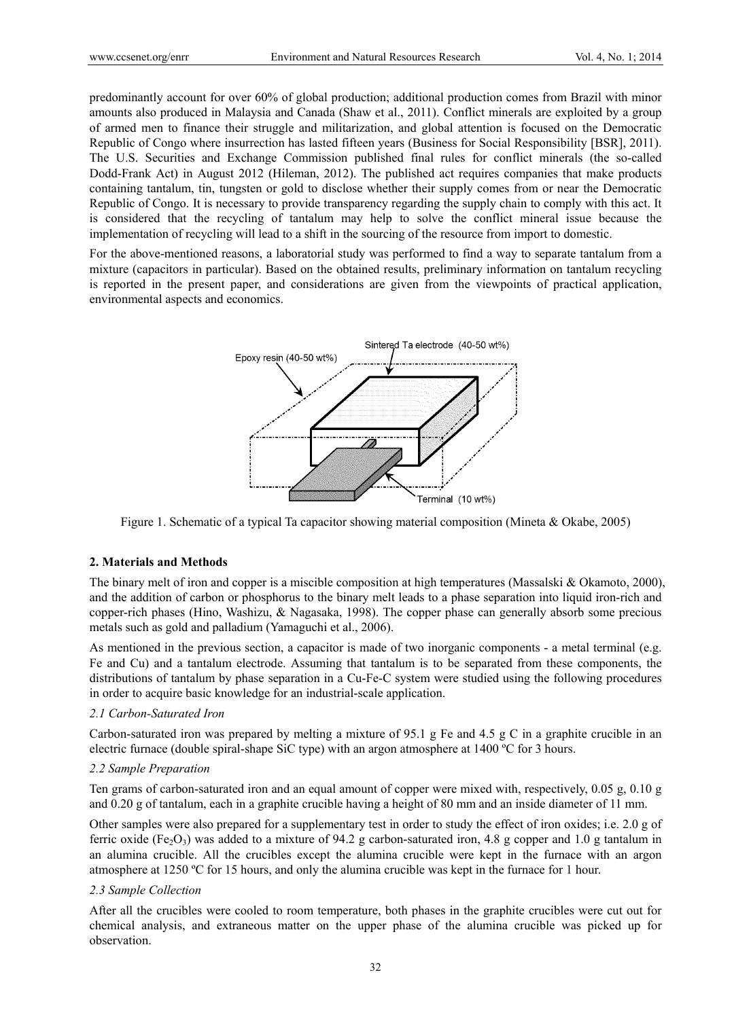predominantly account for over 60% of global production; additional production comes from Brazil with minor amounts also produced in Malaysia and Canada (Shaw et al., 2011). Conflict minerals are exploited by a group of armed men to finance their struggle and militarization, and global attention is focused on the Democratic Republic of Congo where insurrection has lasted fifteen years (Business for Social Responsibility [BSR], 2011). The U.S. Securities and Exchange Commission published final rules for conflict minerals (the so-called Dodd-Frank Act) in August 2012 (Hileman, 2012). The published act requires companies that make products containing tantalum, tin, tungsten or gold to disclose whether their supply comes from or near the Democratic Republic of Congo. It is necessary to provide transparency regarding the supply chain to comply with this act. It is considered that the recycling of tantalum may help to solve the conflict mineral issue because the implementation of recycling will lead to a shift in the sourcing of the resource from import to domestic.

For the above-mentioned reasons, a laboratorial study was performed to find a way to separate tantalum from a mixture (capacitors in particular). Based on the obtained results, preliminary information on tantalum recycling is reported in the present paper, and considerations are given from the viewpoints of practical application, environmental aspects and economics.



Figure 1. Schematic of a typical Ta capacitor showing material composition (Mineta & Okabe, 2005)

## **2. Materials and Methods**

The binary melt of iron and copper is a miscible composition at high temperatures (Massalski & Okamoto, 2000), and the addition of carbon or phosphorus to the binary melt leads to a phase separation into liquid iron-rich and copper-rich phases (Hino, Washizu, & Nagasaka, 1998). The copper phase can generally absorb some precious metals such as gold and palladium (Yamaguchi et al., 2006).

As mentioned in the previous section, a capacitor is made of two inorganic components - a metal terminal (e.g. Fe and Cu) and a tantalum electrode. Assuming that tantalum is to be separated from these components, the distributions of tantalum by phase separation in a Cu-Fe-C system were studied using the following procedures in order to acquire basic knowledge for an industrial-scale application.

#### *2.1 Carbon-Saturated Iron*

Carbon-saturated iron was prepared by melting a mixture of 95.1 g Fe and 4.5 g C in a graphite crucible in an electric furnace (double spiral-shape SiC type) with an argon atmosphere at 1400 ºC for 3 hours.

#### *2.2 Sample Preparation*

Ten grams of carbon-saturated iron and an equal amount of copper were mixed with, respectively, 0.05 g, 0.10 g and 0.20 g of tantalum, each in a graphite crucible having a height of 80 mm and an inside diameter of 11 mm.

Other samples were also prepared for a supplementary test in order to study the effect of iron oxides; i.e. 2.0 g of ferric oxide (Fe<sub>2</sub>O<sub>3</sub>) was added to a mixture of 94.2 g carbon-saturated iron, 4.8 g copper and 1.0 g tantalum in an alumina crucible. All the crucibles except the alumina crucible were kept in the furnace with an argon atmosphere at 1250 ºC for 15 hours, and only the alumina crucible was kept in the furnace for 1 hour.

#### *2.3 Sample Collection*

After all the crucibles were cooled to room temperature, both phases in the graphite crucibles were cut out for chemical analysis, and extraneous matter on the upper phase of the alumina crucible was picked up for observation.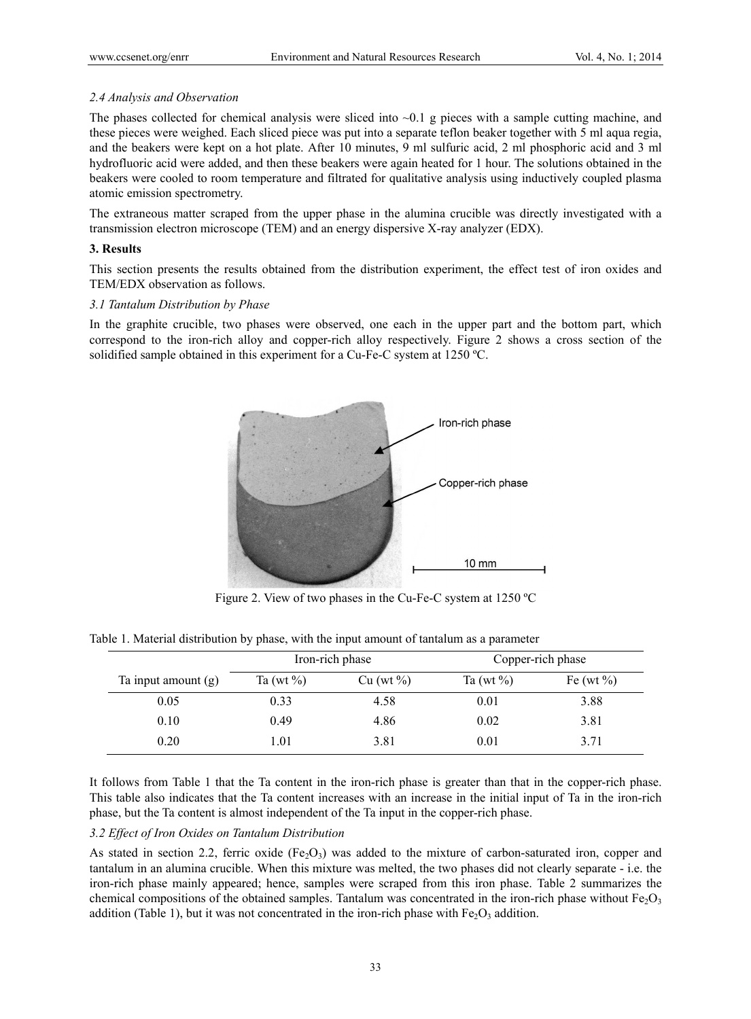#### *2.4 Analysis and Observation*

The phases collected for chemical analysis were sliced into  $\sim 0.1$  g pieces with a sample cutting machine, and these pieces were weighed. Each sliced piece was put into a separate teflon beaker together with 5 ml aqua regia, and the beakers were kept on a hot plate. After 10 minutes, 9 ml sulfuric acid, 2 ml phosphoric acid and 3 ml hydrofluoric acid were added, and then these beakers were again heated for 1 hour. The solutions obtained in the beakers were cooled to room temperature and filtrated for qualitative analysis using inductively coupled plasma atomic emission spectrometry.

The extraneous matter scraped from the upper phase in the alumina crucible was directly investigated with a transmission electron microscope (TEM) and an energy dispersive X-ray analyzer (EDX).

#### **3. Results**

This section presents the results obtained from the distribution experiment, the effect test of iron oxides and TEM/EDX observation as follows.

#### *3.1 Tantalum Distribution by Phase*

In the graphite crucible, two phases were observed, one each in the upper part and the bottom part, which correspond to the iron-rich alloy and copper-rich alloy respectively. Figure 2 shows a cross section of the solidified sample obtained in this experiment for a Cu-Fe-C system at 1250 ºC.



Figure 2. View of two phases in the Cu-Fe-C system at 1250 ºC

|                       | Iron-rich phase |           | Copper-rich phase |               |
|-----------------------|-----------------|-----------|-------------------|---------------|
| Ta input amount $(g)$ | Ta (wt $\%$ )   | Cu (wt %) | Ta (wt $\%$ )     | Fe (wt $\%$ ) |
| 0.05                  | 0.33            | 4.58      | 0.01              | 3.88          |
| 0.10                  | 0.49            | 4.86      | 0.02              | 3.81          |
| 0.20                  | 1.01            | 3.81      | 0.01              | 3.71          |

Table 1. Material distribution by phase, with the input amount of tantalum as a parameter

It follows from Table 1 that the Ta content in the iron-rich phase is greater than that in the copper-rich phase. This table also indicates that the Ta content increases with an increase in the initial input of Ta in the iron-rich phase, but the Ta content is almost independent of the Ta input in the copper-rich phase.

### *3.2 Effect of Iron Oxides on Tantalum Distribution*

As stated in section 2.2, ferric oxide (Fe<sub>2</sub>O<sub>3</sub>) was added to the mixture of carbon-saturated iron, copper and tantalum in an alumina crucible. When this mixture was melted, the two phases did not clearly separate - i.e. the iron-rich phase mainly appeared; hence, samples were scraped from this iron phase. Table 2 summarizes the chemical compositions of the obtained samples. Tantalum was concentrated in the iron-rich phase without Fe $_2O_3$ addition (Table 1), but it was not concentrated in the iron-rich phase with  $Fe<sub>2</sub>O<sub>3</sub>$  addition.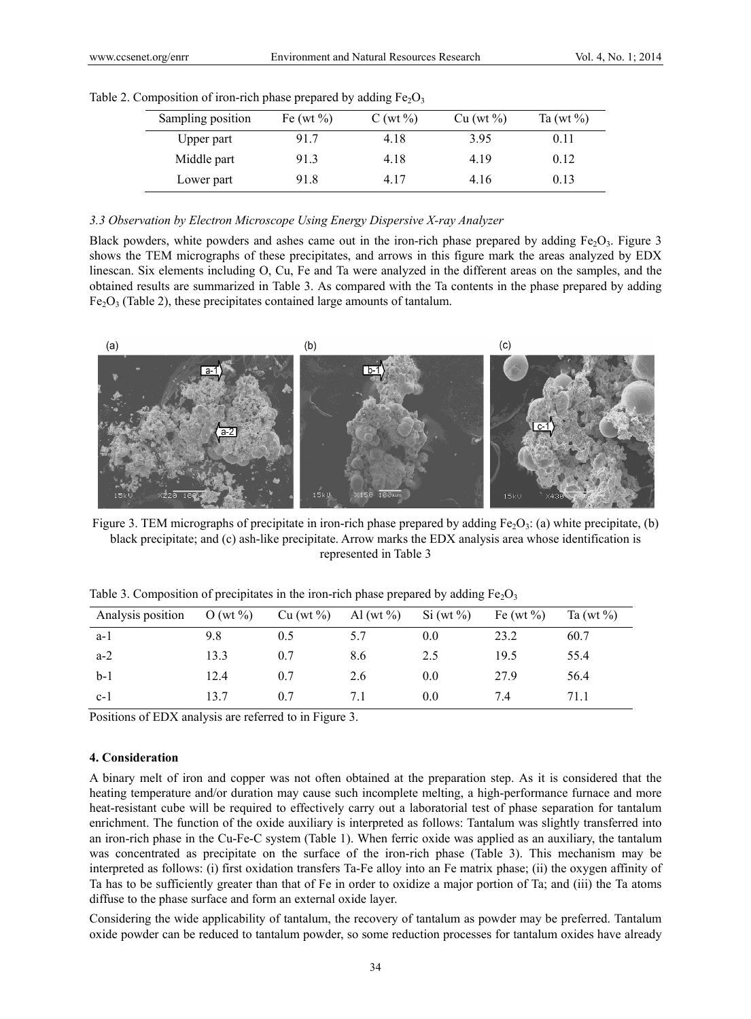| Sampling position | Fe (wt $\%$ ) | $C(wt\%)$ | Cu (wt %) | Ta (wt $\%$ ) |
|-------------------|---------------|-----------|-----------|---------------|
| Upper part        | 91.7          | 4.18      | 3.95      | 0.11          |
| Middle part       | 91.3          | 4.18      | 4 19      | 0.12          |
| Lower part        | 91.8          | 4 17      | 4.16      | 0.13          |

Table 2. Composition of iron-rich phase prepared by adding  $Fe<sub>2</sub>O<sub>3</sub>$ 

#### *3.3 Observation by Electron Microscope Using Energy Dispersive X-ray Analyzer*

Black powders, white powders and ashes came out in the iron-rich phase prepared by adding Fe<sub>2</sub>O<sub>3</sub>. Figure 3 shows the TEM micrographs of these precipitates, and arrows in this figure mark the areas analyzed by EDX linescan. Six elements including O, Cu, Fe and Ta were analyzed in the different areas on the samples, and the obtained results are summarized in Table 3. As compared with the Ta contents in the phase prepared by adding  $Fe<sub>2</sub>O<sub>3</sub>$  (Table 2), these precipitates contained large amounts of tantalum.



Figure 3. TEM micrographs of precipitate in iron-rich phase prepared by adding  $Fe<sub>2</sub>O<sub>3</sub>$ : (a) white precipitate, (b) black precipitate; and (c) ash-like precipitate. Arrow marks the EDX analysis area whose identification is represented in Table 3

| Analysis position | O (wt $\%$ ) | Cu (wt %) | Al (wt $\%$ ) | $Si(wt\%)$ | Fe (wt $\%$ ) | Ta (wt $\%$ ) |
|-------------------|--------------|-----------|---------------|------------|---------------|---------------|
| a-l               | 9.8          | 0.5       | 5.7           | 0.0        | 23.2          | 60.7          |
| $a-2$             | 13.3         | 0.7       | 8.6           | 2.5        | 19.5          | 55.4          |
| $b-1$             | 12.4         | 0.7       | 2.6           | 0.0        | 27.9          | 56.4          |
| $c-1$             | 13.7         | 0.7       |               | 0.0        | 7.4           | 71.1          |

Table 3. Composition of precipitates in the iron-rich phase prepared by adding  $Fe<sub>2</sub>O<sub>3</sub>$ 

Positions of EDX analysis are referred to in Figure 3.

#### **4. Consideration**

A binary melt of iron and copper was not often obtained at the preparation step. As it is considered that the heating temperature and/or duration may cause such incomplete melting, a high-performance furnace and more heat-resistant cube will be required to effectively carry out a laboratorial test of phase separation for tantalum enrichment. The function of the oxide auxiliary is interpreted as follows: Tantalum was slightly transferred into an iron-rich phase in the Cu-Fe-C system (Table 1). When ferric oxide was applied as an auxiliary, the tantalum was concentrated as precipitate on the surface of the iron-rich phase (Table 3). This mechanism may be interpreted as follows: (i) first oxidation transfers Ta-Fe alloy into an Fe matrix phase; (ii) the oxygen affinity of Ta has to be sufficiently greater than that of Fe in order to oxidize a major portion of Ta; and (iii) the Ta atoms diffuse to the phase surface and form an external oxide layer.

Considering the wide applicability of tantalum, the recovery of tantalum as powder may be preferred. Tantalum oxide powder can be reduced to tantalum powder, so some reduction processes for tantalum oxides have already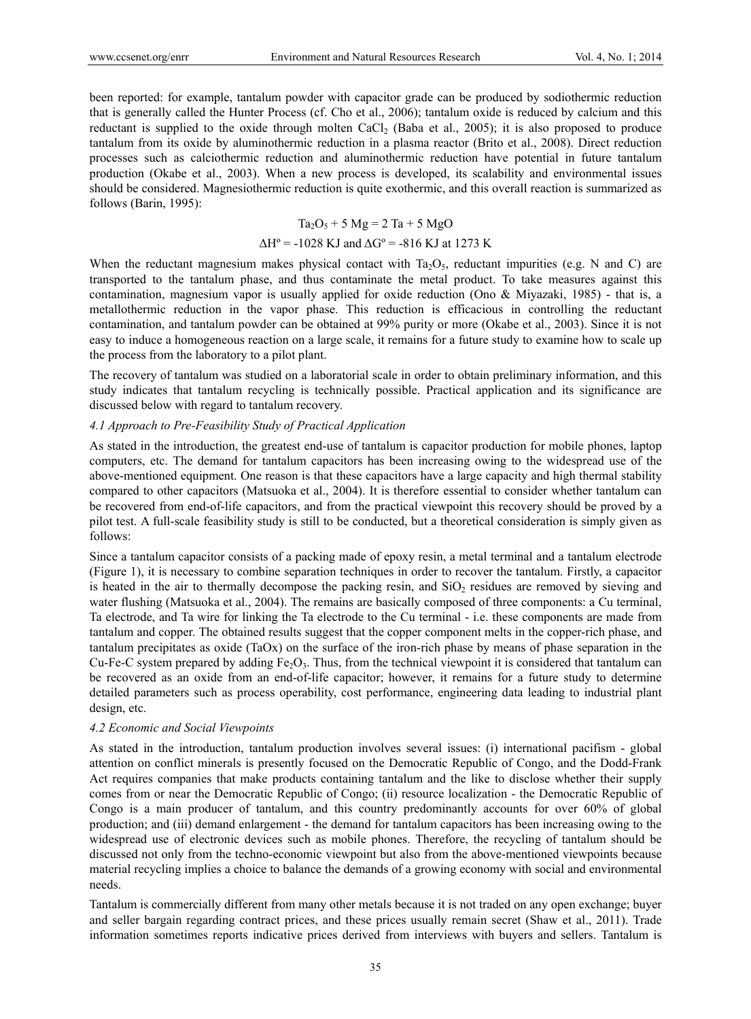been reported: for example, tantalum powder with capacitor grade can be produced by sodiothermic reduction that is generally called the Hunter Process (cf. Cho et al., 2006); tantalum oxide is reduced by calcium and this reductant is supplied to the oxide through molten CaCl<sub>2</sub> (Baba et al., 2005); it is also proposed to produce tantalum from its oxide by aluminothermic reduction in a plasma reactor (Brito et al., 2008). Direct reduction processes such as calciothermic reduction and aluminothermic reduction have potential in future tantalum production (Okabe et al., 2003). When a new process is developed, its scalability and environmental issues should be considered. Magnesiothermic reduction is quite exothermic, and this overall reaction is summarized as follows (Barin, 1995):

# $Ta_2O_5 + 5 Mg = 2 Ta + 5 MgO$

# $\Delta H^{\circ}$  = -1028 KJ and  $\Delta G^{\circ}$  = -816 KJ at 1273 K

When the reductant magnesium makes physical contact with  $Ta_2O_5$ , reductant impurities (e.g. N and C) are transported to the tantalum phase, and thus contaminate the metal product. To take measures against this contamination, magnesium vapor is usually applied for oxide reduction (Ono & Miyazaki, 1985) - that is, a metallothermic reduction in the vapor phase. This reduction is efficacious in controlling the reductant contamination, and tantalum powder can be obtained at 99% purity or more (Okabe et al., 2003). Since it is not easy to induce a homogeneous reaction on a large scale, it remains for a future study to examine how to scale up the process from the laboratory to a pilot plant.

The recovery of tantalum was studied on a laboratorial scale in order to obtain preliminary information, and this study indicates that tantalum recycling is technically possible. Practical application and its significance are discussed below with regard to tantalum recovery.

#### *4.1 Approach to Pre-Feasibility Study of Practical Application*

As stated in the introduction, the greatest end-use of tantalum is capacitor production for mobile phones, laptop computers, etc. The demand for tantalum capacitors has been increasing owing to the widespread use of the above-mentioned equipment. One reason is that these capacitors have a large capacity and high thermal stability compared to other capacitors (Matsuoka et al., 2004). It is therefore essential to consider whether tantalum can be recovered from end-of-life capacitors, and from the practical viewpoint this recovery should be proved by a pilot test. A full-scale feasibility study is still to be conducted, but a theoretical consideration is simply given as follows:

Since a tantalum capacitor consists of a packing made of epoxy resin, a metal terminal and a tantalum electrode (Figure 1), it is necessary to combine separation techniques in order to recover the tantalum. Firstly, a capacitor is heated in the air to thermally decompose the packing resin, and  $SiO<sub>2</sub>$  residues are removed by sieving and water flushing (Matsuoka et al., 2004). The remains are basically composed of three components: a Cu terminal, Ta electrode, and Ta wire for linking the Ta electrode to the Cu terminal - i.e. these components are made from tantalum and copper. The obtained results suggest that the copper component melts in the copper-rich phase, and tantalum precipitates as oxide (TaOx) on the surface of the iron-rich phase by means of phase separation in the Cu-Fe-C system prepared by adding  $Fe<sub>2</sub>O<sub>3</sub>$ . Thus, from the technical viewpoint it is considered that tantalum can be recovered as an oxide from an end-of-life capacitor; however, it remains for a future study to determine detailed parameters such as process operability, cost performance, engineering data leading to industrial plant design, etc.

#### *4.2 Economic and Social Viewpoints*

As stated in the introduction, tantalum production involves several issues: (i) international pacifism - global attention on conflict minerals is presently focused on the Democratic Republic of Congo, and the Dodd-Frank Act requires companies that make products containing tantalum and the like to disclose whether their supply comes from or near the Democratic Republic of Congo; (ii) resource localization - the Democratic Republic of Congo is a main producer of tantalum, and this country predominantly accounts for over 60% of global production; and (iii) demand enlargement - the demand for tantalum capacitors has been increasing owing to the widespread use of electronic devices such as mobile phones. Therefore, the recycling of tantalum should be discussed not only from the techno-economic viewpoint but also from the above-mentioned viewpoints because material recycling implies a choice to balance the demands of a growing economy with social and environmental needs.

Tantalum is commercially different from many other metals because it is not traded on any open exchange; buyer and seller bargain regarding contract prices, and these prices usually remain secret (Shaw et al., 2011). Trade information sometimes reports indicative prices derived from interviews with buyers and sellers. Tantalum is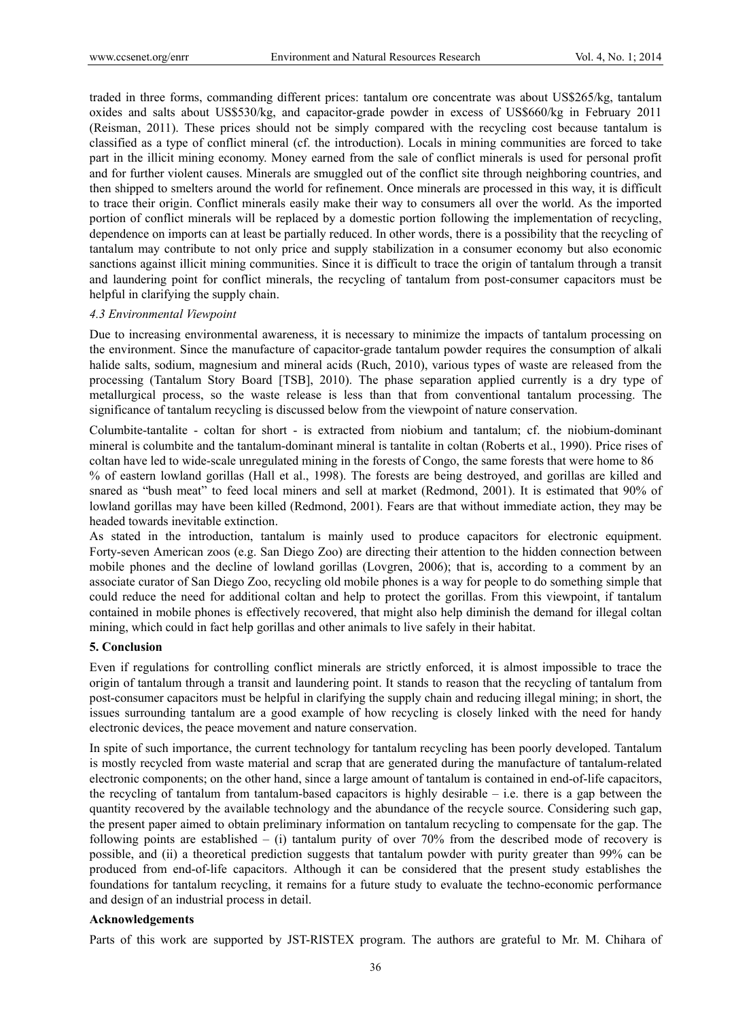traded in three forms, commanding different prices: tantalum ore concentrate was about US\$265/kg, tantalum oxides and salts about US\$530/kg, and capacitor-grade powder in excess of US\$660/kg in February 2011 (Reisman, 2011). These prices should not be simply compared with the recycling cost because tantalum is classified as a type of conflict mineral (cf. the introduction). Locals in mining communities are forced to take part in the illicit mining economy. Money earned from the sale of conflict minerals is used for personal profit and for further violent causes. Minerals are smuggled out of the conflict site through neighboring countries, and then shipped to smelters around the world for refinement. Once minerals are processed in this way, it is difficult to trace their origin. Conflict minerals easily make their way to consumers all over the world. As the imported portion of conflict minerals will be replaced by a domestic portion following the implementation of recycling, dependence on imports can at least be partially reduced. In other words, there is a possibility that the recycling of tantalum may contribute to not only price and supply stabilization in a consumer economy but also economic sanctions against illicit mining communities. Since it is difficult to trace the origin of tantalum through a transit and laundering point for conflict minerals, the recycling of tantalum from post-consumer capacitors must be helpful in clarifying the supply chain.

#### *4.3 Environmental Viewpoint*

Due to increasing environmental awareness, it is necessary to minimize the impacts of tantalum processing on the environment. Since the manufacture of capacitor-grade tantalum powder requires the consumption of alkali halide salts, sodium, magnesium and mineral acids (Ruch, 2010), various types of waste are released from the processing (Tantalum Story Board [TSB], 2010). The phase separation applied currently is a dry type of metallurgical process, so the waste release is less than that from conventional tantalum processing. The significance of tantalum recycling is discussed below from the viewpoint of nature conservation.

Columbite-tantalite - coltan for short - is extracted from niobium and tantalum; cf. the niobium-dominant mineral is columbite and the tantalum-dominant mineral is tantalite in coltan (Roberts et al., 1990). Price rises of coltan have led to wide-scale unregulated mining in the forests of Congo, the same forests that were home to 86 % of eastern lowland gorillas (Hall et al., 1998). The forests are being destroyed, and gorillas are killed and snared as "bush meat" to feed local miners and sell at market (Redmond, 2001). It is estimated that 90% of lowland gorillas may have been killed (Redmond, 2001). Fears are that without immediate action, they may be headed towards inevitable extinction.

As stated in the introduction, tantalum is mainly used to produce capacitors for electronic equipment. Forty-seven American zoos (e.g. San Diego Zoo) are directing their attention to the hidden connection between mobile phones and the decline of lowland gorillas (Lovgren, 2006); that is, according to a comment by an associate curator of San Diego Zoo, recycling old mobile phones is a way for people to do something simple that could reduce the need for additional coltan and help to protect the gorillas. From this viewpoint, if tantalum contained in mobile phones is effectively recovered, that might also help diminish the demand for illegal coltan mining, which could in fact help gorillas and other animals to live safely in their habitat.

#### **5. Conclusion**

Even if regulations for controlling conflict minerals are strictly enforced, it is almost impossible to trace the origin of tantalum through a transit and laundering point. It stands to reason that the recycling of tantalum from post-consumer capacitors must be helpful in clarifying the supply chain and reducing illegal mining; in short, the issues surrounding tantalum are a good example of how recycling is closely linked with the need for handy electronic devices, the peace movement and nature conservation.

In spite of such importance, the current technology for tantalum recycling has been poorly developed. Tantalum is mostly recycled from waste material and scrap that are generated during the manufacture of tantalum-related electronic components; on the other hand, since a large amount of tantalum is contained in end-of-life capacitors, the recycling of tantalum from tantalum-based capacitors is highly desirable  $-$  i.e. there is a gap between the quantity recovered by the available technology and the abundance of the recycle source. Considering such gap, the present paper aimed to obtain preliminary information on tantalum recycling to compensate for the gap. The following points are established – (i) tantalum purity of over  $70\%$  from the described mode of recovery is possible, and (ii) a theoretical prediction suggests that tantalum powder with purity greater than 99% can be produced from end-of-life capacitors. Although it can be considered that the present study establishes the foundations for tantalum recycling, it remains for a future study to evaluate the techno-economic performance and design of an industrial process in detail.

#### **Acknowledgements**

Parts of this work are supported by JST-RISTEX program. The authors are grateful to Mr. M. Chihara of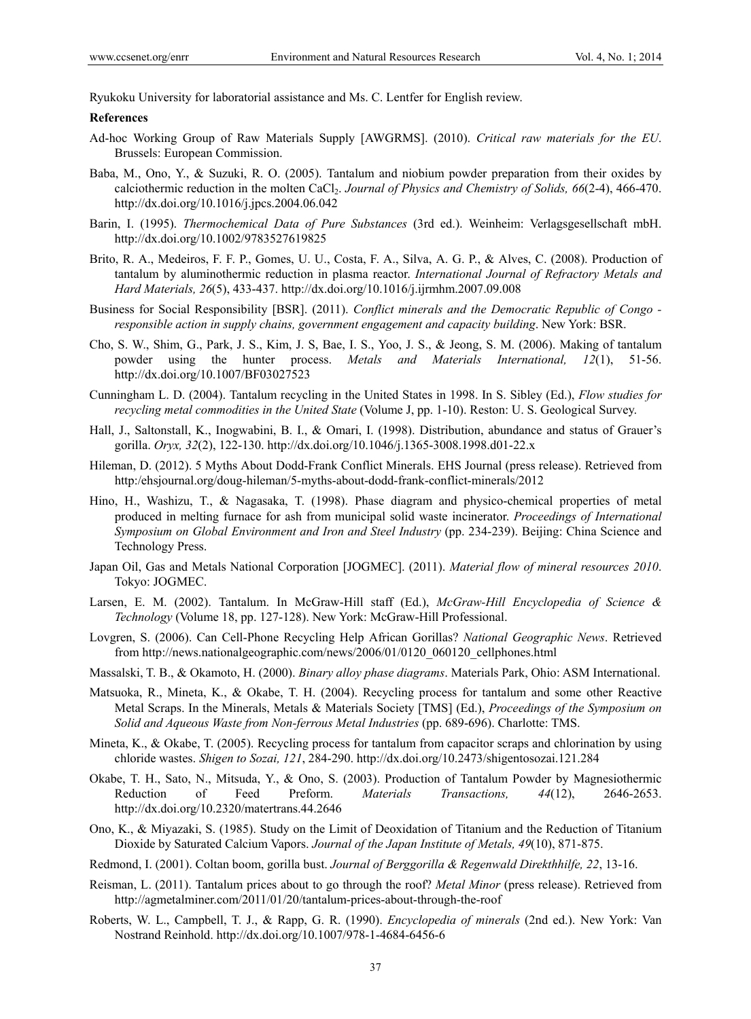Ryukoku University for laboratorial assistance and Ms. C. Lentfer for English review.

#### **References**

- Ad-hoc Working Group of Raw Materials Supply [AWGRMS]. (2010). *Critical raw materials for the EU*. Brussels: European Commission.
- Baba, M., Ono, Y., & Suzuki, R. O. (2005). Tantalum and niobium powder preparation from their oxides by calciothermic reduction in the molten CaCl<sub>2</sub>. *Journal of Physics and Chemistry of Solids, 66*(2-4), 466-470. http://dx.doi.org/10.1016/j.jpcs.2004.06.042
- Barin, I. (1995). *Thermochemical Data of Pure Substances* (3rd ed.). Weinheim: Verlagsgesellschaft mbH. http://dx.doi.org/10.1002/9783527619825
- Brito, R. A., Medeiros, F. F. P., Gomes, U. U., Costa, F. A., Silva, A. G. P., & Alves, C. (2008). Production of tantalum by aluminothermic reduction in plasma reactor. *International Journal of Refractory Metals and Hard Materials, 26*(5), 433-437. http://dx.doi.org/10.1016/j.ijrmhm.2007.09.008
- Business for Social Responsibility [BSR]. (2011). *Conflict minerals and the Democratic Republic of Congo responsible action in supply chains, government engagement and capacity building*. New York: BSR.
- Cho, S. W., Shim, G., Park, J. S., Kim, J. S, Bae, I. S., Yoo, J. S., & Jeong, S. M. (2006). Making of tantalum powder using the hunter process. *Metals and Materials International, 12*(1), 51-56. http://dx.doi.org/10.1007/BF03027523
- Cunningham L. D. (2004). Tantalum recycling in the United States in 1998. In S. Sibley (Ed.), *Flow studies for recycling metal commodities in the United State* (Volume J, pp. 1-10). Reston: U. S. Geological Survey.
- Hall, J., Saltonstall, K., Inogwabini, B. I., & Omari, I. (1998). Distribution, abundance and status of Grauer's gorilla. *Oryx, 32*(2), 122-130. http://dx.doi.org/10.1046/j.1365-3008.1998.d01-22.x
- Hileman, D. (2012). 5 Myths About Dodd-Frank Conflict Minerals. EHS Journal (press release). Retrieved from http:/ehsjournal.org/doug-hileman/5-myths-about-dodd-frank-conflict-minerals/2012
- Hino, H., Washizu, T., & Nagasaka, T. (1998). Phase diagram and physico-chemical properties of metal produced in melting furnace for ash from municipal solid waste incinerator. *Proceedings of International Symposium on Global Environment and Iron and Steel Industry* (pp. 234-239). Beijing: China Science and Technology Press.
- Japan Oil, Gas and Metals National Corporation [JOGMEC]. (2011). *Material flow of mineral resources 2010*. Tokyo: JOGMEC.
- Larsen, E. M. (2002). Tantalum. In McGraw-Hill staff (Ed.), *McGraw-Hill Encyclopedia of Science & Technology* (Volume 18, pp. 127-128). New York: McGraw-Hill Professional.
- Lovgren, S. (2006). Can Cell-Phone Recycling Help African Gorillas? *National Geographic News*. Retrieved from http://news.nationalgeographic.com/news/2006/01/0120\_060120\_cellphones.html
- Massalski, T. B., & Okamoto, H. (2000). *Binary alloy phase diagrams*. Materials Park, Ohio: ASM International.
- Matsuoka, R., Mineta, K., & Okabe, T. H. (2004). Recycling process for tantalum and some other Reactive Metal Scraps. In the Minerals, Metals & Materials Society [TMS] (Ed.), *Proceedings of the Symposium on Solid and Aqueous Waste from Non-ferrous Metal Industries* (pp. 689-696). Charlotte: TMS.
- Mineta, K., & Okabe, T. (2005). Recycling process for tantalum from capacitor scraps and chlorination by using chloride wastes. *Shigen to Sozai, 121*, 284-290. http://dx.doi.org/10.2473/shigentosozai.121.284
- Okabe, T. H., Sato, N., Mitsuda, Y., & Ono, S. (2003). Production of Tantalum Powder by Magnesiothermic Reduction of Feed Preform. *Materials Transactions, 44*(12), 2646-2653. http://dx.doi.org/10.2320/matertrans.44.2646
- Ono, K., & Miyazaki, S. (1985). Study on the Limit of Deoxidation of Titanium and the Reduction of Titanium Dioxide by Saturated Calcium Vapors. *Journal of the Japan Institute of Metals, 49*(10), 871-875.
- Redmond, I. (2001). Coltan boom, gorilla bust. *Journal of Berggorilla & Regenwald Direkthhilfe, 22*, 13-16.
- Reisman, L. (2011). Tantalum prices about to go through the roof? *Metal Minor* (press release). Retrieved from http://agmetalminer.com/2011/01/20/tantalum-prices-about-through-the-roof
- Roberts, W. L., Campbell, T. J., & Rapp, G. R. (1990). *Encyclopedia of minerals* (2nd ed.). New York: Van Nostrand Reinhold. http://dx.doi.org/10.1007/978-1-4684-6456-6